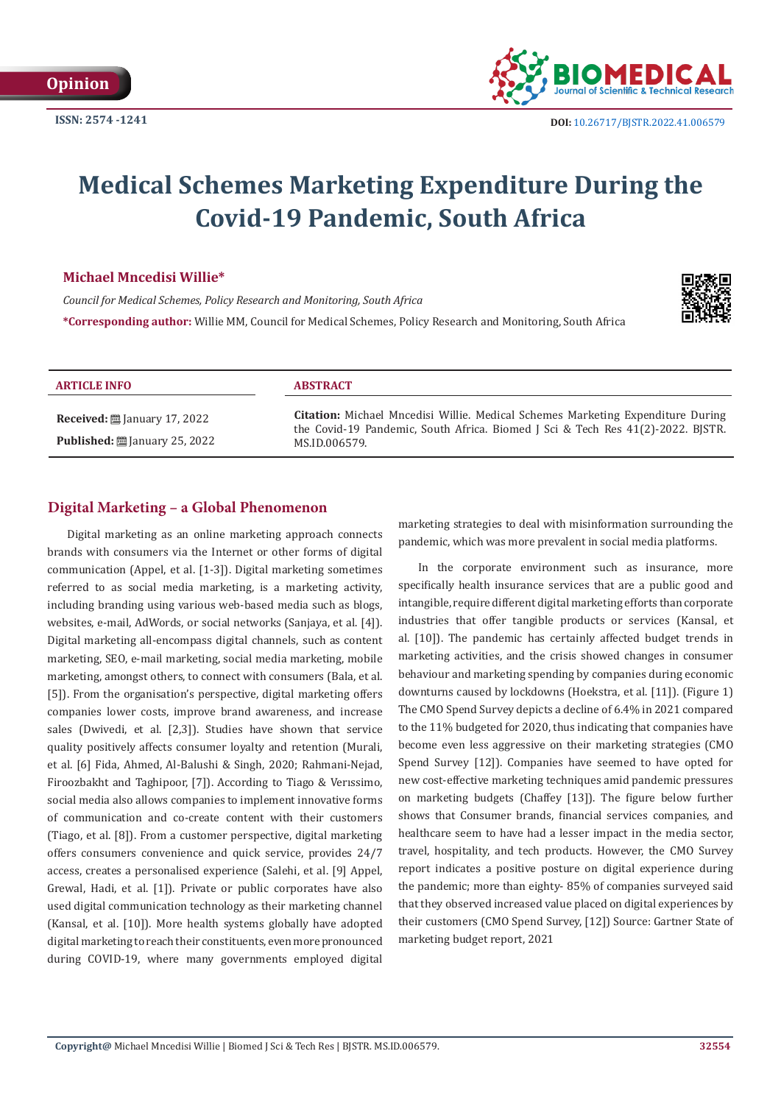# **Medical Schemes Marketing Expenditure During the Covid-19 Pandemic, South Africa**

### **Michael Mncedisi Willie\***

*Council for Medical Schemes, Policy Research and Monitoring, South Africa*

**\*Corresponding author:** Willie MM, Council for Medical Schemes, Policy Research and Monitoring, South Africa



| <b>ARTICLE INFO</b>                                                                                        | <b>ABSTRACT</b>                                                                                                                                                                     |
|------------------------------------------------------------------------------------------------------------|-------------------------------------------------------------------------------------------------------------------------------------------------------------------------------------|
| <b>Received:</b> $\ddot{\mathbf{\Xi}}$ January 17, 2022<br><b>Published:</b> $\ddot{\Xi}$ January 25, 2022 | Citation: Michael Mncedisi Willie. Medical Schemes Marketing Expenditure During<br>the Covid-19 Pandemic, South Africa. Biomed J Sci & Tech Res 41(2)-2022. BJSTR.<br>MS.ID.006579. |

# **Digital Marketing – a Global Phenomenon**

Digital marketing as an online marketing approach connects brands with consumers via the Internet or other forms of digital communication (Appel, et al. [1-3]). Digital marketing sometimes referred to as social media marketing, is a marketing activity, including branding using various web-based media such as blogs, websites, e-mail, AdWords, or social networks (Sanjaya, et al. [4]). Digital marketing all-encompass digital channels, such as content marketing, SEO, e-mail marketing, social media marketing, mobile marketing, amongst others, to connect with consumers (Bala, et al. [5]). From the organisation's perspective, digital marketing offers companies lower costs, improve brand awareness, and increase sales (Dwivedi, et al. [2,3]). Studies have shown that service quality positively affects consumer loyalty and retention (Murali, et al. [6] Fida, Ahmed, Al-Balushi & Singh, 2020; Rahmani-Nejad, Firoozbakht and Taghipoor, [7]). According to Tiago & Verıssimo, social media also allows companies to implement innovative forms of communication and co-create content with their customers (Tiago, et al. [8]). From a customer perspective, digital marketing offers consumers convenience and quick service, provides 24/7 access, creates a personalised experience (Salehi, et al. [9] Appel, Grewal, Hadi, et al. [1]). Private or public corporates have also used digital communication technology as their marketing channel (Kansal, et al. [10]). More health systems globally have adopted digital marketing to reach their constituents, even more pronounced during COVID-19, where many governments employed digital

marketing strategies to deal with misinformation surrounding the pandemic, which was more prevalent in social media platforms.

In the corporate environment such as insurance, more specifically health insurance services that are a public good and intangible, require different digital marketing efforts than corporate industries that offer tangible products or services (Kansal, et al. [10]). The pandemic has certainly affected budget trends in marketing activities, and the crisis showed changes in consumer behaviour and marketing spending by companies during economic downturns caused by lockdowns (Hoekstra, et al. [11]). (Figure 1) The CMO Spend Survey depicts a decline of 6.4% in 2021 compared to the 11% budgeted for 2020, thus indicating that companies have become even less aggressive on their marketing strategies (CMO Spend Survey [12]). Companies have seemed to have opted for new cost-effective marketing techniques amid pandemic pressures on marketing budgets (Chaffey [13]). The figure below further shows that Consumer brands, financial services companies, and healthcare seem to have had a lesser impact in the media sector, travel, hospitality, and tech products. However, the CMO Survey report indicates a positive posture on digital experience during the pandemic; more than eighty- 85% of companies surveyed said that they observed increased value placed on digital experiences by their customers (CMO Spend Survey, [12]) Source: Gartner State of marketing budget report, 2021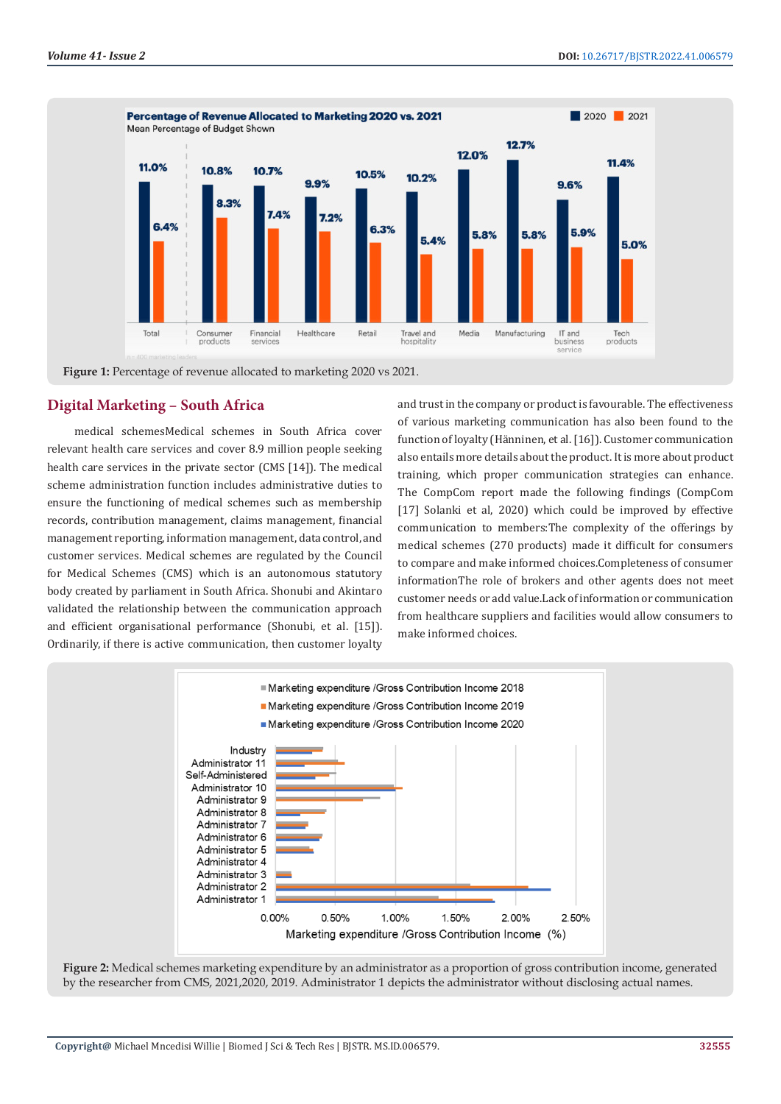

**Figure 1:** Percentage of revenue allocated to marketing 2020 vs 2021.

## **Digital Marketing – South Africa**

 medical schemesMedical schemes in South Africa cover relevant health care services and cover 8.9 million people seeking health care services in the private sector (CMS [14]). The medical scheme administration function includes administrative duties to ensure the functioning of medical schemes such as membership records, contribution management, claims management, financial management reporting, information management, data control, and customer services. Medical schemes are regulated by the Council for Medical Schemes (CMS) which is an autonomous statutory body created by parliament in South Africa. Shonubi and Akintaro validated the relationship between the communication approach and efficient organisational performance (Shonubi, et al. [15]). Ordinarily, if there is active communication, then customer loyalty

and trust in the company or product is favourable. The effectiveness of various marketing communication has also been found to the function of loyalty (Hänninen, et al. [16]). Customer communication also entails more details about the product. It is more about product training, which proper communication strategies can enhance. The CompCom report made the following findings (CompCom [17] Solanki et al, 2020) which could be improved by effective communication to members:The complexity of the offerings by medical schemes (270 products) made it difficult for consumers to compare and make informed choices.Completeness of consumer informationThe role of brokers and other agents does not meet customer needs or add value.Lack of information or communication from healthcare suppliers and facilities would allow consumers to make informed choices.



**Figure 2:** Medical schemes marketing expenditure by an administrator as a proportion of gross contribution income, generated by the researcher from CMS, 2021,2020, 2019. Administrator 1 depicts the administrator without disclosing actual names.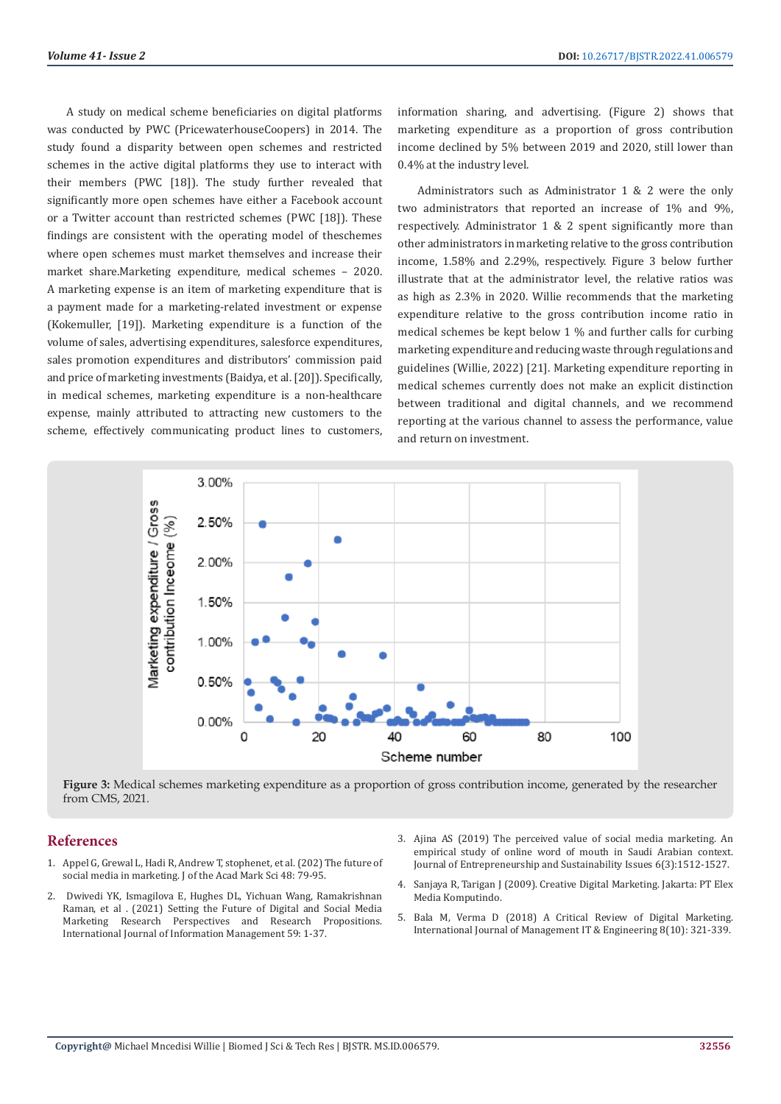A study on medical scheme beneficiaries on digital platforms was conducted by PWC (PricewaterhouseCoopers) in 2014. The study found a disparity between open schemes and restricted schemes in the active digital platforms they use to interact with their members (PWC [18]). The study further revealed that significantly more open schemes have either a Facebook account or a Twitter account than restricted schemes (PWC [18]). These findings are consistent with the operating model of theschemes where open schemes must market themselves and increase their market share.Marketing expenditure, medical schemes – 2020. A marketing expense is an item of marketing expenditure that is a payment made for a marketing-related investment or expense (Kokemuller, [19]). Marketing expenditure is a function of the volume of sales, advertising expenditures, salesforce expenditures, sales promotion expenditures and distributors' commission paid and price of marketing investments (Baidya, et al. [20]). Specifically, in medical schemes, marketing expenditure is a non-healthcare expense, mainly attributed to attracting new customers to the scheme, effectively communicating product lines to customers,

information sharing, and advertising. (Figure 2) shows that marketing expenditure as a proportion of gross contribution income declined by 5% between 2019 and 2020, still lower than 0.4% at the industry level.

Administrators such as Administrator 1 & 2 were the only two administrators that reported an increase of 1% and 9%, respectively. Administrator 1 & 2 spent significantly more than other administrators in marketing relative to the gross contribution income, 1.58% and 2.29%, respectively. Figure 3 below further illustrate that at the administrator level, the relative ratios was as high as 2.3% in 2020. Willie recommends that the marketing expenditure relative to the gross contribution income ratio in medical schemes be kept below 1 % and further calls for curbing marketing expenditure and reducing waste through regulations and guidelines (Willie, 2022) [21]. Marketing expenditure reporting in medical schemes currently does not make an explicit distinction between traditional and digital channels, and we recommend reporting at the various channel to assess the performance, value and return on investment.



**Figure 3:** Medical schemes marketing expenditure as a proportion of gross contribution income, generated by the researcher from CMS, 2021.

# **References**

- 1. [Appel G, Grewal L, Hadi R, Andrew T, stophenet, et al. \(202\) The future of](https://www.researchgate.net/publication/336484814_The_future_of_social_media_in_marketing)  [social media in marketing. J of the Acad Mark Sci 48: 79-95.](https://www.researchgate.net/publication/336484814_The_future_of_social_media_in_marketing)
- 2. [Dwivedi YK, Ismagilova E, Hughes DL, Yichuan Wang, Ramakrishnan](https://www.sciencedirect.com/science/article/pii/S0268401220308082)  [Raman, et al . \(2021\) Setting the Future of Digital and Social Media](https://www.sciencedirect.com/science/article/pii/S0268401220308082)  [Marketing Research Perspectives and Research Propositions.](https://www.sciencedirect.com/science/article/pii/S0268401220308082)  [International Journal of Information Management 59: 1-37.](https://www.sciencedirect.com/science/article/pii/S0268401220308082)
- 3. [Ajina AS \(2019\) The perceived value of social media marketing. An](https://ideas.repec.org/a/ssi/jouesi/v6y2019i3p1512-1527.html) [empirical study of online word of mouth in Saudi Arabian context.](https://ideas.repec.org/a/ssi/jouesi/v6y2019i3p1512-1527.html) [Journal of Entrepreneurship and Sustainability Issues 6\(3\):1512-1527.](https://ideas.repec.org/a/ssi/jouesi/v6y2019i3p1512-1527.html)
- 4. Sanjaya R, Tarigan J (2009). Creative Digital Marketing. Jakarta: PT Elex Media Komputindo.
- 5. [Bala M, Verma D \(2018\) A Critical Review of Digital Marketing.](https://papers.ssrn.com/sol3/papers.cfm?abstract_id=3545505) [International Journal of Management IT & Engineering 8\(10\): 321-339.](https://papers.ssrn.com/sol3/papers.cfm?abstract_id=3545505)